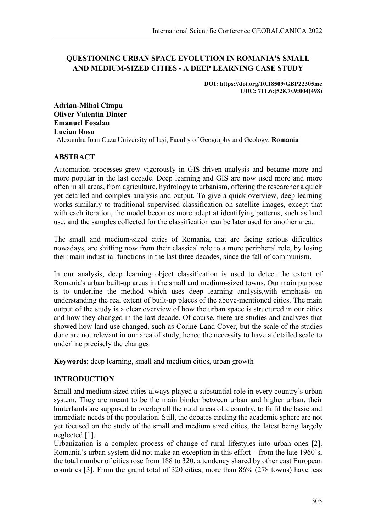# **QUESTIONING URBAN SPACE EVOLUTION IN ROMANIA'S SMALL AND MEDIUM-SIZED CITIES - A DEEP LEARNING CASE STUDY**

**DOI: https://doi.org/10.18509/GBP22305mc UDC: 711.6:[528.7/.9:004(498)**

**Adrian-Mihai Cimpu Oliver Valentin Dinter Emanuel Fosalau Lucian Rosu** Alexandru Ioan Cuza University of Iași, Faculty of Geography and Geology, **Romania**

#### **ABSTRACT**

Automation processes grew vigorously in GIS-driven analysis and became more and more popular in the last decade. Deep learning and GIS are now used more and more often in all areas, from agriculture, hydrology to urbanism, offering the researcher a quick yet detailed and complex analysis and output. To give a quick overview, deep learning works similarly to traditional supervised classification on satellite images, except that with each iteration, the model becomes more adept at identifying patterns, such as land use, and the samples collected for the classification can be later used for another area..

The small and medium-sized cities of Romania, that are facing serious dificulties nowadays, are shifting now from their classical role to a more peripheral role, by losing their main industrial functions in the last three decades, since the fall of communism.

In our analysis, deep learning object classification is used to detect the extent of Romania's urban built-up areas in the small and medium-sized towns. Our main purpose is to underline the method which uses deep learning analysis,with emphasis on understanding the real extent of built-up places of the above-mentioned cities. The main output of the study is a clear overview of how the urban space is structured in our cities and how they changed in the last decade. Of course, there are studies and analyzes that showed how land use changed, such as Corine Land Cover, but the scale of the studies done are not relevant in our area of study, hence the necessity to have a detailed scale to underline precisely the changes.

**Keywords**: deep learning, small and medium cities, urban growth

### **INTRODUCTION**

Small and medium sized cities always played a substantial role in every country's urban system. They are meant to be the main binder between urban and higher urban, their hinterlands are supposed to overlap all the rural areas of a country, to fulfil the basic and immediate needs of the population. Still, the debates circling the academic sphere are not yet focused on the study of the small and medium sized cities, the latest being largely neglected [1].

Urbanization is a complex process of change of rural lifestyles into urban ones [2]. Romania's urban system did not make an exception in this effort – from the late 1960's, the total number of cities rose from 188 to 320, a tendency shared by other east European countries [3]. From the grand total of 320 cities, more than 86% (278 towns) have less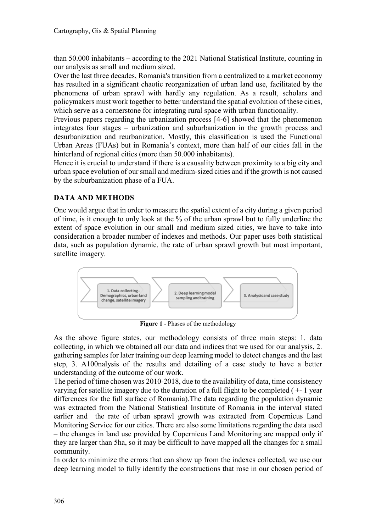than 50.000 inhabitants – according to the 2021 National Statistical Institute, counting in our analysis as small and medium sized.

Over the last three decades, Romania's transition from a centralized to a market economy has resulted in a significant chaotic reorganization of urban land use, facilitated by the phenomena of urban sprawl with hardly any regulation. As a result, scholars and policymakers must work together to better understand the spatial evolution of these cities, which serve as a cornerstone for integrating rural space with urban functionality.

Previous papers regarding the urbanization process [4-6] showed that the phenomenon integrates four stages – urbanization and suburbanization in the growth process and desurbanization and reurbanization. Mostly, this classification is used the Functional Urban Areas (FUAs) but in Romania's context, more than half of our cities fall in the hinterland of regional cities (more than 50.000 inhabitants).

Hence it is crucial to understand if there is a causality between proximity to a big city and urban space evolution of our small and medium-sized cities and if the growth is not caused by the suburbanization phase of a FUA.

# **DATA AND METHODS**

One would argue that in order to measure the spatial extent of a city during a given period of time, is it enough to only look at the % of the urban sprawl but to fully underline the extent of space evolution in our small and medium sized cities, we have to take into consideration a broader number of indexes and methods. Our paper uses both statistical data, such as population dynamic, the rate of urban sprawl growth but most important, satellite imagery.



**Figure 1** - Phases of the methodology

As the above figure states, our methodology consists of three main steps: 1. data collecting, in which we obtained all our data and indices that we used for our analysis, 2. gathering samples for later training our deep learning model to detect changes and the last step, 3. A100nalysis of the results and detailing of a case study to have a better understanding of the outcome of our work.

The period of time chosen was 2010-2018, due to the availability of data, time consistency varying for satellite imagery due to the duration of a full flight to be completed ( +- 1 year differences for the full surface of Romania).The data regarding the population dynamic was extracted from the National Statistical Institute of Romania in the interval stated earlier and the rate of urban sprawl growth was extracted from Copernicus Land Monitoring Service for our cities. There are also some limitations regarding the data used – the changes in land use provided by Copernicus Land Monitoring are mapped only if they are larger than 5ha, so it may be difficult to have mapped all the changes for a small community.

In order to minimize the errors that can show up from the indexes collected, we use our deep learning model to fully identify the constructions that rose in our chosen period of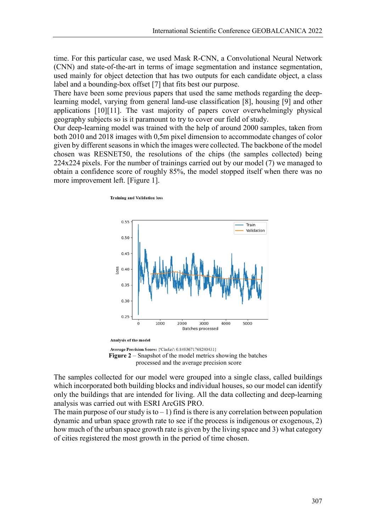time. For this particular case, we used Mask R-CNN, a Convolutional Neural Network (CNN) and state-of-the-art in terms of image segmentation and instance segmentation, used mainly for object detection that has two outputs for each candidate object, a class label and a bounding-box offset [7] that fits best our purpose.

There have been some previous papers that used the same methods regarding the deeplearning model, varying from general land-use classification [8], housing [9] and other applications [10][11]. The vast majority of papers cover overwhelmingly physical geography subjects so is it paramount to try to cover our field of study.

Our deep-learning model was trained with the help of around 2000 samples, taken from both 2010 and 2018 images with 0,5m pixel dimension to accommodate changes of color given by different seasons in which the images were collected. The backbone of the model chosen was RESNET50, the resolutions of the chips (the samples collected) being 224x224 pixels. For the number of trainings carried out by our model (7) we managed to obtain a confidence score of roughly 85%, the model stopped itself when there was no more improvement left. [Figure 1].

**Training and Validation loss** 



Average Precision Score: {'Cladiri': 0.8493671768240431} **Figure 2** – Snapshot of the model metrics showing the batches processed and the average precision score

The samples collected for our model were grouped into a single class, called buildings which incorporated both building blocks and individual houses, so our model can identify only the buildings that are intended for living. All the data collecting and deep-learning analysis was carried out with ESRI ArcGIS PRO.

The main purpose of our study is to  $-1$ ) find is there is any correlation between population dynamic and urban space growth rate to see if the process is indigenous or exogenous, 2) how much of the urban space growth rate is given by the living space and 3) what category of cities registered the most growth in the period of time chosen.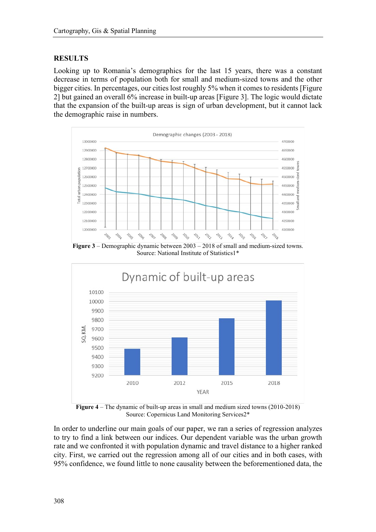#### **RESULTS**

Looking up to Romania's demographics for the last 15 years, there was a constant decrease in terms of population both for small and medium-sized towns and the other bigger cities. In percentages, our cities lost roughly 5% when it comes to residents [Figure 2] but gained an overall 6% increase in built-up areas [Figure 3]. The logic would dictate that the expansion of the built-up areas is sign of urban development, but it cannot lack the demographic raise in numbers.



**Figure 3** – Demographic dynamic between 2003 – 2018 of small and medium-sized towns. Source: National Institute of Statistics1\*



**Figure 4** – The dynamic of built-up areas in small and medium sized towns (2010-2018) Source: Copernicus Land Monitoring Services2\*

In order to underline our main goals of our paper, we ran a series of regression analyzes to try to find a link between our indices. Our dependent variable was the urban growth rate and we confronted it with population dynamic and travel distance to a higher ranked city. First, we carried out the regression among all of our cities and in both cases, with 95% confidence, we found little to none causality between the beforementioned data, the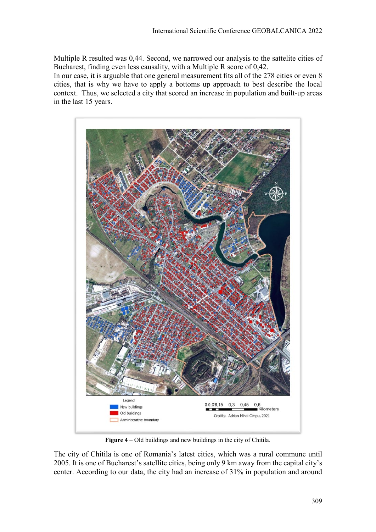Multiple R resulted was 0,44. Second, we narrowed our analysis to the sattelite cities of Bucharest, finding even less causality, with a Multiple R score of 0,42.

In our case, it is arguable that one general measurement fits all of the 278 cities or even 8 cities, that is why we have to apply a bottoms up approach to best describe the local context. Thus, we selected a city that scored an increase in population and built-up areas in the last 15 years.



**Figure 4** – Old buildings and new buildings in the city of Chitila.

The city of Chitila is one of Romania's latest cities, which was a rural commune until 2005. It is one of Bucharest's satellite cities, being only 9 km away from the capital city's center. According to our data, the city had an increase of 31% in population and around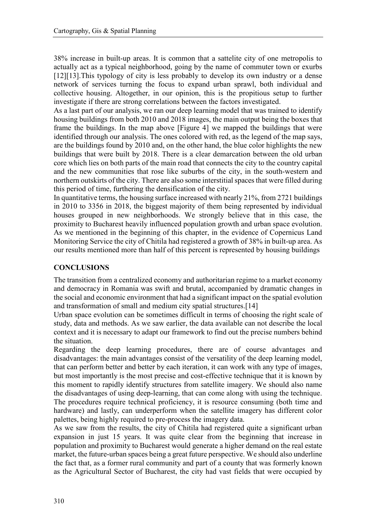38% increase in built-up areas. It is common that a sattelite city of one metropolis to actually act as a typical neighborhood, going by the name of commuter town or exurbs [12][13]. This typology of city is less probably to develop its own industry or a dense network of services turning the focus to expand urban sprawl, both individual and collective housing. Altogether, in our opinion, this is the propitious setup to further investigate if there are strong correlations between the factors investigated.

As a last part of our analysis, we ran our deep learning model that was trained to identify housing buildings from both 2010 and 2018 images, the main output being the boxes that frame the buildings. In the map above [Figure 4] we mapped the buildings that were identified through our analysis. The ones colored with red, as the legend of the map says, are the buildings found by 2010 and, on the other hand, the blue color highlights the new buildings that were built by 2018. There is a clear demarcation between the old urban core which lies on both parts of the main road that connects the city to the country capital and the new communities that rose like suburbs of the city, in the south-western and northern outskirts of the city. There are also some interstitial spaces that were filled during this period of time, furthering the densification of the city.

In quantitative terms, the housing surface increased with nearly 21%, from 2721 buildings in 2010 to 3356 in 2018, the biggest majority of them being represented by individual houses grouped in new neighborhoods. We strongly believe that in this case, the proximity to Bucharest heavily influenced population growth and urban space evolution. As we mentioned in the beginning of this chapter, in the evidence of Copernicus Land Monitoring Service the city of Chitila had registered a growth of 38% in built-up area. As our results mentioned more than half of this percent is represented by housing buildings

# **CONCLUSIONS**

The transition from a centralized economy and authoritarian regime to a market economy and democracy in Romania was swift and brutal, accompanied by dramatic changes in the social and economic environment that had a significant impact on the spatial evolution and transformation of small and medium city spatial structures.[14]

Urban space evolution can be sometimes difficult in terms of choosing the right scale of study, data and methods. As we saw earlier, the data available can not describe the local context and it is necessary to adapt our framework to find out the precise numbers behind the situation.

Regarding the deep learning procedures, there are of course advantages and disadvantages: the main advantages consist of the versatility of the deep learning model, that can perform better and better by each iteration, it can work with any type of images, but most importantly is the most precise and cost-effective technique that it is known by this moment to rapidly identify structures from satellite imagery. We should also name the disadvantages of using deep-learning, that can come along with using the technique. The procedures require technical proficiency, it is resource consuming (both time and hardware) and lastly, can underperform when the satellite imagery has different color palettes, being highly required to pre-process the imagery data.

As we saw from the results, the city of Chitila had registered quite a significant urban expansion in just 15 years. It was quite clear from the beginning that increase in population and proximity to Bucharest would generate a higher demand on the real estate market, the future-urban spaces being a great future perspective. We should also underline the fact that, as a former rural community and part of a county that was formerly known as the Agricultural Sector of Bucharest, the city had vast fields that were occupied by